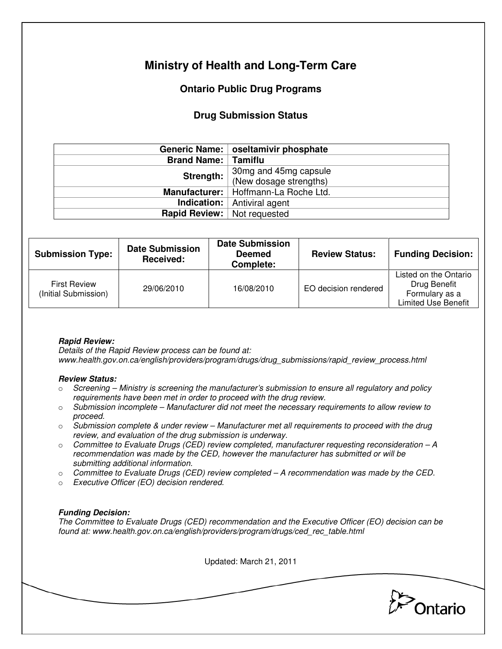# **Ministry of Health and Long-Term Care**

## **Ontario Public Drug Programs**

## **Drug Submission Status**

|                                      | Generic Name:   oseltamivir phosphate           |  |
|--------------------------------------|-------------------------------------------------|--|
| <b>Brand Name:   Tamiflu</b>         |                                                 |  |
| Strength:                            | 30mg and 45mg capsule<br>(New dosage strengths) |  |
|                                      | Manufacturer:   Hoffmann-La Roche Ltd.          |  |
|                                      | <b>Indication:</b> Antiviral agent              |  |
| <b>Rapid Review:</b>   Not requested |                                                 |  |

| <b>Submission Type:</b>                     | <b>Date Submission</b><br>Received: | <b>Date Submission</b><br><b>Deemed</b><br>Complete: | <b>Review Status:</b> | <b>Funding Decision:</b>                                                              |
|---------------------------------------------|-------------------------------------|------------------------------------------------------|-----------------------|---------------------------------------------------------------------------------------|
| <b>First Review</b><br>(Initial Submission) | 29/06/2010                          | 16/08/2010                                           | EO decision rendered  | Listed on the Ontario<br>Drug Benefit<br>Formulary as a<br><b>Limited Use Benefit</b> |

### **Rapid Review:**

Details of the Rapid Review process can be found at: www.health.gov.on.ca/english/providers/program/drugs/drug\_submissions/rapid\_review\_process.html

#### **Review Status:**

- $\circ$  Screening Ministry is screening the manufacturer's submission to ensure all regulatory and policy requirements have been met in order to proceed with the drug review.
- $\circ$  Submission incomplete Manufacturer did not meet the necessary requirements to allow review to proceed.
- $\circ$  Submission complete & under review Manufacturer met all requirements to proceed with the drug review, and evaluation of the drug submission is underway.
- $\circ$  Committee to Evaluate Drugs (CED) review completed, manufacturer requesting reconsideration  $-A$ recommendation was made by the CED, however the manufacturer has submitted or will be submitting additional information.
- $\circ$  Committee to Evaluate Drugs (CED) review completed A recommendation was made by the CED.
- o Executive Officer (EO) decision rendered.

### **Funding Decision:**

The Committee to Evaluate Drugs (CED) recommendation and the Executive Officer (EO) decision can be found at: www.health.gov.on.ca/english/providers/program/drugs/ced\_rec\_table.html

Updated: March 21, 2011 Ontario